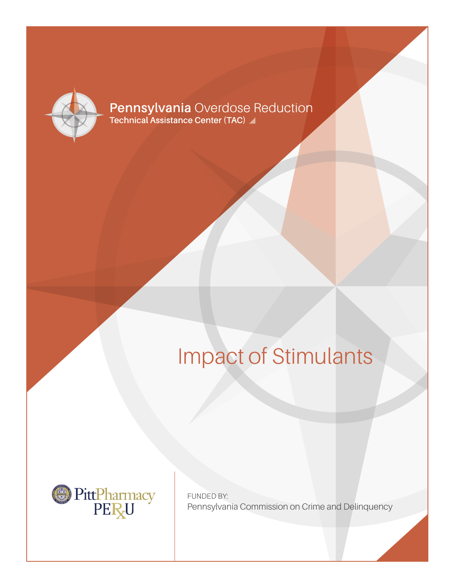

# **Pennsylvania Overdose Reduction**<br>Technical Assistance Center (TAC)

# Impact of Stimulants



FUNDED BY: Pennsylvania Commission on Crime and Delinquency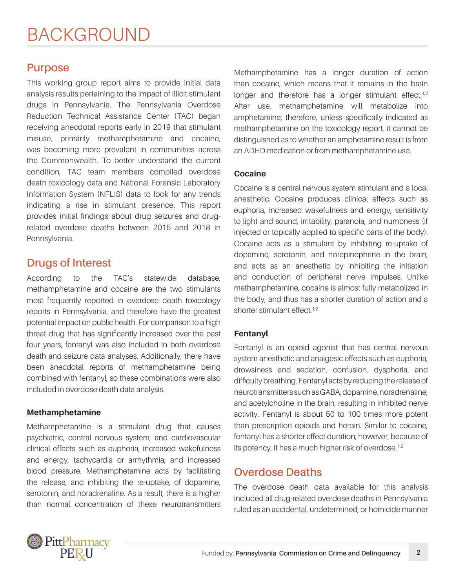## BACKGROUND

### **Purpose**

This working group report aims to provide initial data analysis results pertaining to the impact of illicit stimulant drugs in Pennsylvania. The Pennsylvania Overdose Reduction Technical Assistance Center (TAC) began receiving anecdotal reports early in 2019 that stimulant misuse, primarily methamphetamine and cocaine, was becoming more prevalent in communities across the Commonwealth. To better understand the current condition, TAC team members compiled overdose death toxicology data and National Forensic Laboratory Information System (NFLIS) data to look for any trends indicating a rise in stimulant presence. This report provides initial findings about drug seizures and drugrelated overdose deaths between 2015 and 2018 in Pennsylvania.

## **Drugs of Interest**

According to the TAC's statewide database, methamphetamine and cocaine are the two stimulants most frequently reported in overdose death toxicology reports in Pennsylvania, and therefore have the greatest potential impact on public health. For comparison to a high threat drug that has significantly increased over the past four years, fentanyl was also included in both overdose death and seizure data analyses. Additionally, there have been anecdotal reports of methamphetamine being combined with fentanyl, so these combinations were also included in overdose death data analysis.

#### **Methamphetamine**

Methamphetamine is a stimulant drug that causes psychiatric, central nervous system, and cardiovascular clinical effects such as euphoria, increased wakefulness and energy, tachycardia or arrhythmia, and increased blood pressure. Methamphetamine acts by facilitating the release, and inhibiting the re-uptake, of dopamine, serotonin, and noradrenaline. As a result, there is a higher than normal concentration of these neurotransmitters Methamphetamine has a longer duration of action than cocaine, which means that it remains in the brain longer and therefore has a longer stimulant effect.<sup>1,2</sup> After use, methamphetamine will metabolize into amphetamine; therefore, unless specifically indicated as methamphetamine on the toxicology report, it cannot be distinguished as to whether an amphetamine result is from an ADHD medication or from methamphetamine use.

#### **Cocaine**

Cocaine is a central nervous system stimulant and a local anesthetic. Cocaine produces clinical effects such as euphoria, increased wakefulness and energy, sensitivity to light and sound, irritability, paranoia, and numbness (if injected or topically applied to specific parts of the body). Cocaine acts as a stimulant by inhibiting re-uptake of dopamine, serotonin, and norepinephrine in the brain, and acts as an anesthetic by inhibiting the initiation and conduction of peripheral nerve impulses. Unlike methamphetamine, cocaine is almost fully metabolized in the body, and thus has a shorter duration of action and a shorter stimulant effect.<sup>1,2</sup>

#### **Fentanyl**

Fentanyl is an opioid agonist that has central nervous system anesthetic and analgesic effects such as euphoria, drowsiness and sedation, confusion, dysphoria, and difficulty breathing. Fentanyl acts by reducing the release of neurotransmitters such as GABA, dopamine, noradrenaline, and acetylcholine in the brain, resulting in inhibited nerve activity. Fentanyl is about 50 to 100 times more potent than prescription opioids and heroin. Similar to cocaine, fentanyl has a shorter effect duration; however, because of its potency, it has a much higher risk of overdose.<sup>1,2</sup>

### **Overdose Deaths**

The overdose death data available for this analysis included all drug-related overdose deaths in Pennsylvania ruled as an accidental, undetermined, or homicide manner

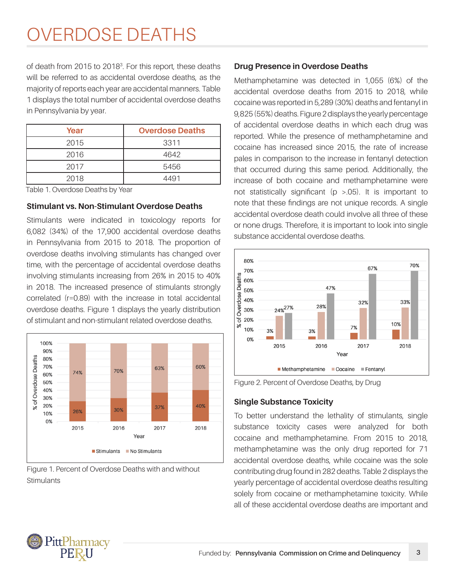## OVERDOSE DEATHS

of death from 2015 to 20183 . For this report, these deaths will be referred to as accidental overdose deaths, as the majority of reports each year are accidental manners. Table 1 displays the total number of accidental overdose deaths in Pennsylvania by year.

| Year | <b>Overdose Deaths</b> |
|------|------------------------|
| 2015 | 3311                   |
| 2016 | 4642                   |
| 2017 | 5456                   |
| 2018 | 4401                   |

Table 1. Overdose Deaths by Year

#### **Stimulant vs. Non-Stimulant Overdose Deaths**

Stimulants were indicated in toxicology reports for 6,082 (34%) of the 17,900 accidental overdose deaths in Pennsylvania from 2015 to 2018. The proportion of overdose deaths involving stimulants has changed over time, with the percentage of accidental overdose deaths involving stimulants increasing from 26% in 2015 to 40% in 2018. The increased presence of stimulants strongly correlated (r=0.89) with the increase in total accidental overdose deaths. Figure 1 displays the yearly distribution of stimulant and non-stimulant related overdose deaths.



Figure 1. Percent of Overdose Deaths with and without **Stimulants** 

#### **Drug Presence in Overdose Deaths**

Methamphetamine was detected in 1,055 (6%) of the accidental overdose deaths from 2015 to 2018, while cocaine was reported in 5,289 (30%) deaths and fentanyl in 9,825 (55%) deaths. Figure 2 displays the yearly percentage of accidental overdose deaths in which each drug was reported. While the presence of methamphetamine and cocaine has increased since 2015, the rate of increase pales in comparison to the increase in fentanyl detection that occurred during this same period. Additionally, the increase of both cocaine and methamphetamine were not statistically significant (p >.05). It is important to note that these findings are not unique records. A single accidental overdose death could involve all three of these or none drugs. Therefore, it is important to look into single substance accidental overdose deaths.





#### **Single Substance Toxicity**

To better understand the lethality of stimulants, single substance toxicity cases were analyzed for both cocaine and methamphetamine. From 2015 to 2018, methamphetamine was the only drug reported for 71 accidental overdose deaths, while cocaine was the sole contributing drug found in 282 deaths. Table 2 displays the yearly percentage of accidental overdose deaths resulting solely from cocaine or methamphetamine toxicity. While all of these accidental overdose deaths are important and

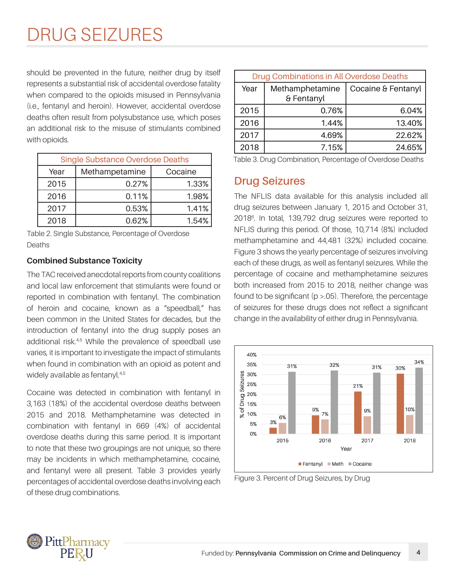## DRUG SEIZURES

should be prevented in the future, neither drug by itself represents a substantial risk of accidental overdose fatality when compared to the opioids misused in Pennsylvania (i.e., fentanyl and heroin). However, accidental overdose deaths often result from polysubstance use, which poses an additional risk to the misuse of stimulants combined with opioids.

| <b>Single Substance Overdose Deaths</b> |                |         |  |
|-----------------------------------------|----------------|---------|--|
| Year                                    | Methampetamine | Cocaine |  |
| 2015                                    | 0.27%          | 1.33%   |  |
| 2016                                    | 0.11%          | 1.98%   |  |
| 2017                                    | 0.53%          | 1.41%   |  |
| 2018                                    | 0.62%          | 1.54%   |  |

Table 2. Single Substance, Percentage of Overdose Deaths

#### **Combined Substance Toxicity**

The TAC received anecdotal reports from county coalitions and local law enforcement that stimulants were found or reported in combination with fentanyl. The combination of heroin and cocaine, known as a "speedball." has been common in the United States for decades, but the introduction of fentanyl into the drug supply poses an additional risk.<sup>4,5</sup> While the prevalence of speedball use varies, it is important to investigate the impact of stimulants when found in combination with an opioid as potent and widely available as fentanyl.<sup>4,5</sup>

Cocaine was detected in combination with fentanyl in 3,163 (18%) of the accidental overdose deaths between 2015 and 2018. Methamphetamine was detected in combination with fentanyl in 669 (4%) of accidental overdose deaths during this same period. It is important to note that these two groupings are not unique, so there may be incidents in which methamphetamine, cocaine, and fentanyl were all present. Table 3 provides yearly percentages of accidental overdose deaths involving each of these drug combinations.

| Drug Combinations in All Overdose Deaths |                               |                    |
|------------------------------------------|-------------------------------|--------------------|
| Year                                     | Methamphetamine<br>& Fentanyl | Cocaine & Fentanyl |
| 2015                                     | 0.76%                         | 6.04%              |
| 2016                                     | 1.44%                         | 13.40%             |
| 2017                                     | 4.69%                         | 22.62%             |
| 2018                                     | 7.15%                         | 24.65%             |
|                                          |                               |                    |

Table 3. Drug Combination, Percentage of Overdose Deaths

### **Drug Seizures**

The NFLIS data available for this analysis included all drug seizures between January 1, 2015 and October 31, 20186 . In total, 139,792 drug seizures were reported to NFLIS during this period. Of those, 10,714 (8%) included methamphetamine and 44,481 (32%) included cocaine. Figure 3 shows the yearly percentage of seizures involving each of these drugs, as well as fentanyl seizures. While the percentage of cocaine and methamphetamine seizures both increased from 2015 to 2018, neither change was found to be significant ( $p > 0.05$ ). Therefore, the percentage of seizures for these drugs does not reflect a significant change in the availability of either drug in Pennsylvania.



Figure 3. Percent of Drug Seizures, by Drug

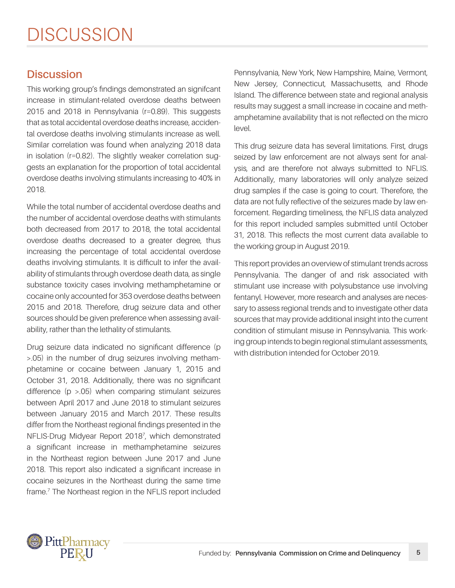## **Discussion**

This working group's findings demonstrated an signifcant increase in stimulant-related overdose deaths between 2015 and 2018 in Pennsylvania (r=0.89). This suggests that as total accidental overdose deaths increase, accidental overdose deaths involving stimulants increase as well. Similar correlation was found when analyzing 2018 data in isolation (r=0.82). The slightly weaker correlation suggests an explanation for the proportion of total accidental overdose deaths involving stimulants increasing to 40% in 2018.

While the total number of accidental overdose deaths and the number of accidental overdose deaths with stimulants both decreased from 2017 to 2018, the total accidental overdose deaths decreased to a greater degree, thus increasing the percentage of total accidental overdose deaths involving stimulants. It is difficult to infer the availability of stimulants through overdose death data, as single substance toxicity cases involving methamphetamine or cocaine only accounted for 353 overdose deaths between 2015 and 2018. Therefore, drug seizure data and other sources should be given preference when assessing availability, rather than the lethality of stimulants.

Drug seizure data indicated no significant difference (p >.05) in the number of drug seizures involving methamphetamine or cocaine between January 1, 2015 and October 31, 2018. Additionally, there was no significant difference (p >.05) when comparing stimulant seizures between April 2017 and June 2018 to stimulant seizures between January 2015 and March 2017. These results differ from the Northeast regional findings presented in the NFLIS-Drug Midyear Report 20187 , which demonstrated a significant increase in methamphetamine seizures in the Northeast region between June 2017 and June 2018. This report also indicated a significant increase in cocaine seizures in the Northeast during the same time frame.7 The Northeast region in the NFLIS report included

Pennsylvania, New York, New Hampshire, Maine, Vermont, New Jersey, Connecticut, Massachusetts, and Rhode Island. The difference between state and regional analysis results may suggest a small increase in cocaine and methamphetamine availability that is not reflected on the micro level.

This drug seizure data has several limitations. First, drugs seized by law enforcement are not always sent for analysis, and are therefore not always submitted to NFLIS. Additionally, many laboratories will only analyze seized drug samples if the case is going to court. Therefore, the data are not fully reflective of the seizures made by law enforcement. Regarding timeliness, the NFLIS data analyzed for this report included samples submitted until October 31, 2018. This reflects the most current data available to the working group in August 2019.

This report provides an overview of stimulant trends across Pennsylvania. The danger of and risk associated with stimulant use increase with polysubstance use involving fentanyl. However, more research and analyses are necessary to assess regional trends and to investigate other data sources that may provide additional insight into the current condition of stimulant misuse in Pennsylvania. This working group intends to begin regional stimulant assessments, with distribution intended for October 2019.